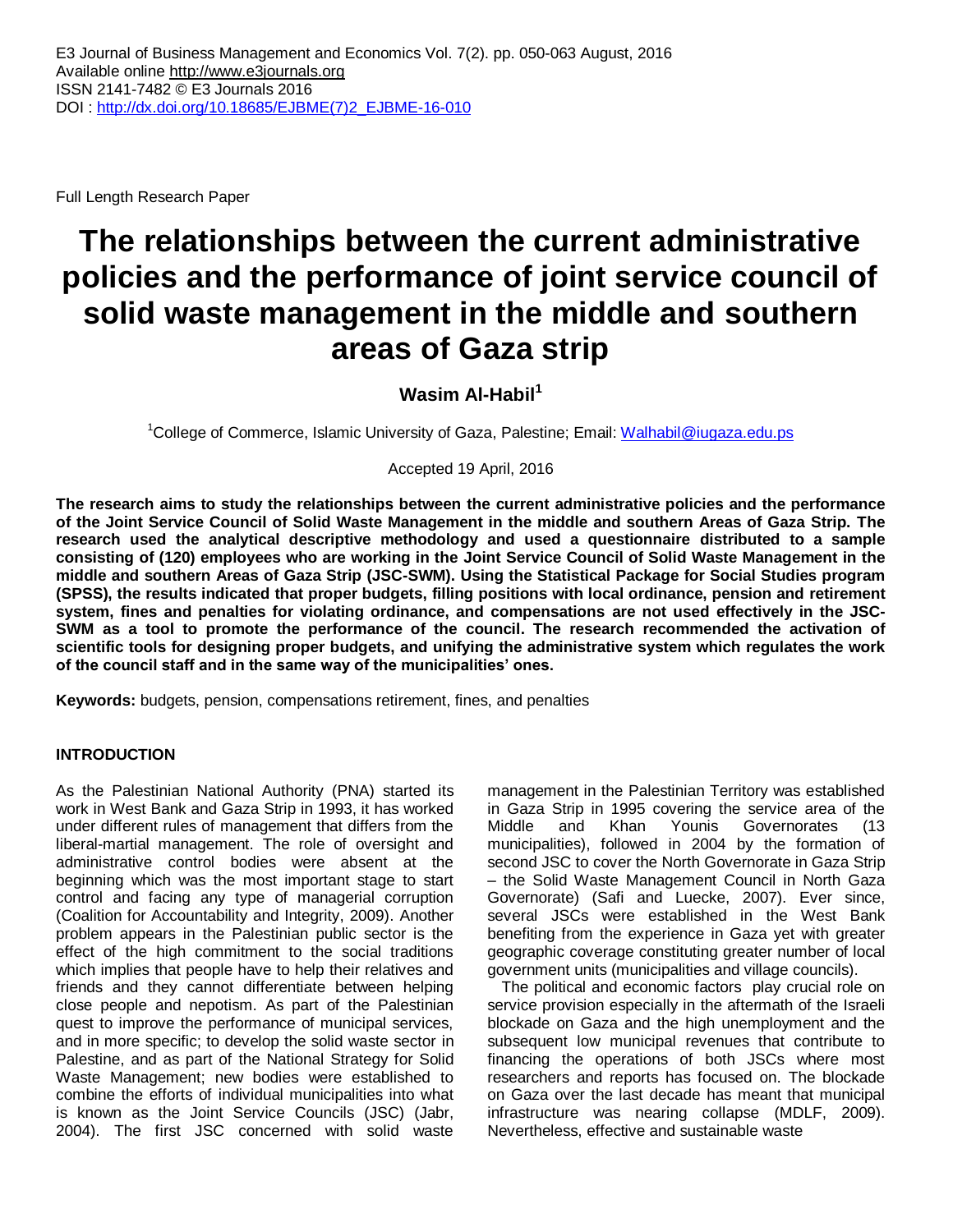Full Length Research Paper

# **The relationships between the current administrative policies and the performance of joint service council of solid waste management in the middle and southern areas of Gaza strip**

# **Wasim Al-Habil<sup>1</sup>**

<sup>1</sup>College of Commerce, Islamic University of Gaza, Palestine; Email: <u>Walhabil@iugaza.edu.ps</u>

Accepted 19 April, 2016

**The research aims to study the relationships between the current administrative policies and the performance of the Joint Service Council of Solid Waste Management in the middle and southern Areas of Gaza Strip. The research used the analytical descriptive methodology and used a questionnaire distributed to a sample consisting of (120) employees who are working in the Joint Service Council of Solid Waste Management in the middle and southern Areas of Gaza Strip (JSC-SWM). Using the Statistical Package for Social Studies program (SPSS), the results indicated that proper budgets, filling positions with local ordinance, pension and retirement system, fines and penalties for violating ordinance, and compensations are not used effectively in the JSC-SWM as a tool to promote the performance of the council. The research recommended the activation of scientific tools for designing proper budgets, and unifying the administrative system which regulates the work of the council staff and in the same way of the municipalities' ones.**

**Keywords:** budgets, pension, compensations retirement, fines, and penalties

## **INTRODUCTION**

As the Palestinian National Authority (PNA) started its work in West Bank and Gaza Strip in 1993, it has worked under different rules of management that differs from the liberal-martial management. The role of oversight and administrative control bodies were absent at the beginning which was the most important stage to start control and facing any type of managerial corruption (Coalition for Accountability and Integrity, 2009). Another problem appears in the Palestinian public sector is the effect of the high commitment to the social traditions which implies that people have to help their relatives and friends and they cannot differentiate between helping close people and nepotism. As part of the Palestinian quest to improve the performance of municipal services, and in more specific; to develop the solid waste sector in Palestine, and as part of the National Strategy for Solid Waste Management; new bodies were established to combine the efforts of individual municipalities into what is known as the Joint Service Councils (JSC) (Jabr, 2004). The first JSC concerned with solid waste

management in the Palestinian Territory was established in Gaza Strip in 1995 covering the service area of the Middle and Khan Younis Governorates (13 municipalities), followed in 2004 by the formation of second JSC to cover the North Governorate in Gaza Strip – the Solid Waste Management Council in North Gaza Governorate) (Safi and Luecke, 2007). Ever since, several JSCs were established in the West Bank benefiting from the experience in Gaza yet with greater geographic coverage constituting greater number of local government units (municipalities and village councils).

The political and economic factors play crucial role on service provision especially in the aftermath of the Israeli blockade on Gaza and the high unemployment and the subsequent low municipal revenues that contribute to financing the operations of both JSCs where most researchers and reports has focused on. The blockade on Gaza over the last decade has meant that municipal infrastructure was nearing collapse (MDLF, 2009). Nevertheless, effective and sustainable waste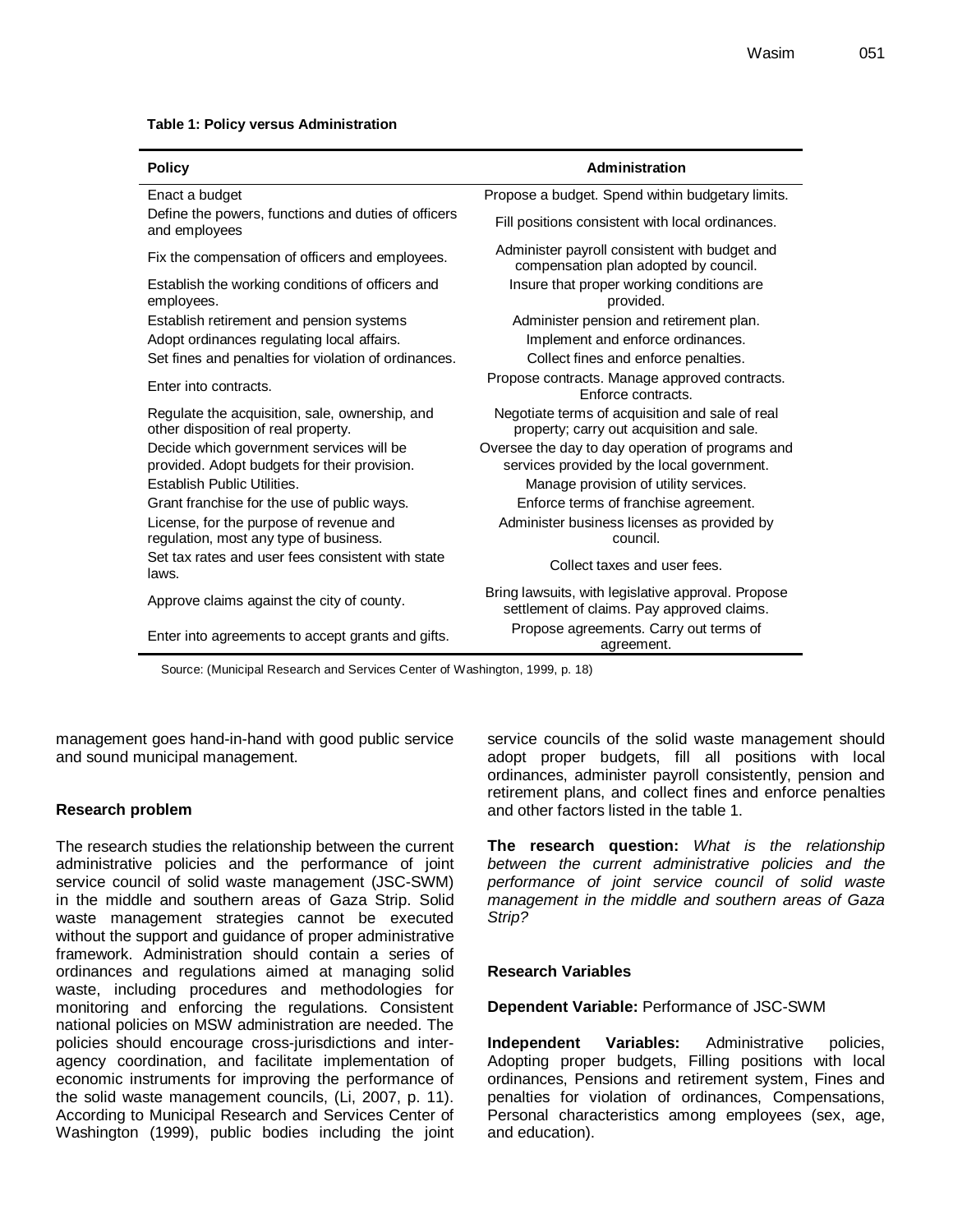|  |  |  | Table 1: Policy versus Administration |
|--|--|--|---------------------------------------|
|--|--|--|---------------------------------------|

| <b>Policy</b>                                                                            | Administration                                                                                   |
|------------------------------------------------------------------------------------------|--------------------------------------------------------------------------------------------------|
| Enact a budget                                                                           | Propose a budget. Spend within budgetary limits.                                                 |
| Define the powers, functions and duties of officers<br>and employees                     | Fill positions consistent with local ordinances.                                                 |
| Fix the compensation of officers and employees.                                          | Administer payroll consistent with budget and<br>compensation plan adopted by council.           |
| Establish the working conditions of officers and<br>employees.                           | Insure that proper working conditions are<br>provided.                                           |
| Establish retirement and pension systems<br>Adopt ordinances regulating local affairs.   | Administer pension and retirement plan.<br>Implement and enforce ordinances.                     |
| Set fines and penalties for violation of ordinances.                                     | Collect fines and enforce penalties.                                                             |
| Enter into contracts.                                                                    | Propose contracts. Manage approved contracts.<br>Enforce contracts.                              |
| Regulate the acquisition, sale, ownership, and<br>other disposition of real property.    | Negotiate terms of acquisition and sale of real<br>property; carry out acquisition and sale.     |
| Decide which government services will be<br>provided. Adopt budgets for their provision. | Oversee the day to day operation of programs and<br>services provided by the local government.   |
| Establish Public Utilities.                                                              | Manage provision of utility services.                                                            |
| Grant franchise for the use of public ways.                                              | Enforce terms of franchise agreement.                                                            |
| License, for the purpose of revenue and<br>regulation, most any type of business.        | Administer business licenses as provided by<br>council.                                          |
| Set tax rates and user fees consistent with state<br>laws.                               | Collect taxes and user fees.                                                                     |
| Approve claims against the city of county.                                               | Bring lawsuits, with legislative approval. Propose<br>settlement of claims. Pay approved claims. |
| Enter into agreements to accept grants and gifts.                                        | Propose agreements. Carry out terms of<br>agreement.                                             |

Source: (Municipal Research and Services Center of Washington, 1999, p. 18)

management goes hand-in-hand with good public service and sound municipal management.

#### **Research problem**

The research studies the relationship between the current administrative policies and the performance of joint service council of solid waste management (JSC-SWM) in the middle and southern areas of Gaza Strip. Solid waste management strategies cannot be executed without the support and quidance of proper administrative framework. Administration should contain a series of ordinances and regulations aimed at managing solid waste, including procedures and methodologies for monitoring and enforcing the regulations. Consistent national policies on MSW administration are needed. The policies should encourage cross-jurisdictions and interagency coordination, and facilitate implementation of economic instruments for improving the performance of the solid waste management councils, (Li, 2007, p. 11). According to Municipal Research and Services Center of Washington (1999), public bodies including the joint service councils of the solid waste management should adopt proper budgets, fill all positions with local ordinances, administer payroll consistently, pension and retirement plans, and collect fines and enforce penalties and other factors listed in the table 1.

**The research question:** *What is the relationship between the current administrative policies and the performance of joint service council of solid waste management in the middle and southern areas of Gaza Strip?*

#### **Research Variables**

#### **Dependent Variable:** Performance of JSC-SWM

**Independent Variables:** Administrative policies, Adopting proper budgets, Filling positions with local ordinances, Pensions and retirement system, Fines and penalties for violation of ordinances, Compensations, Personal characteristics among employees (sex, age, and education).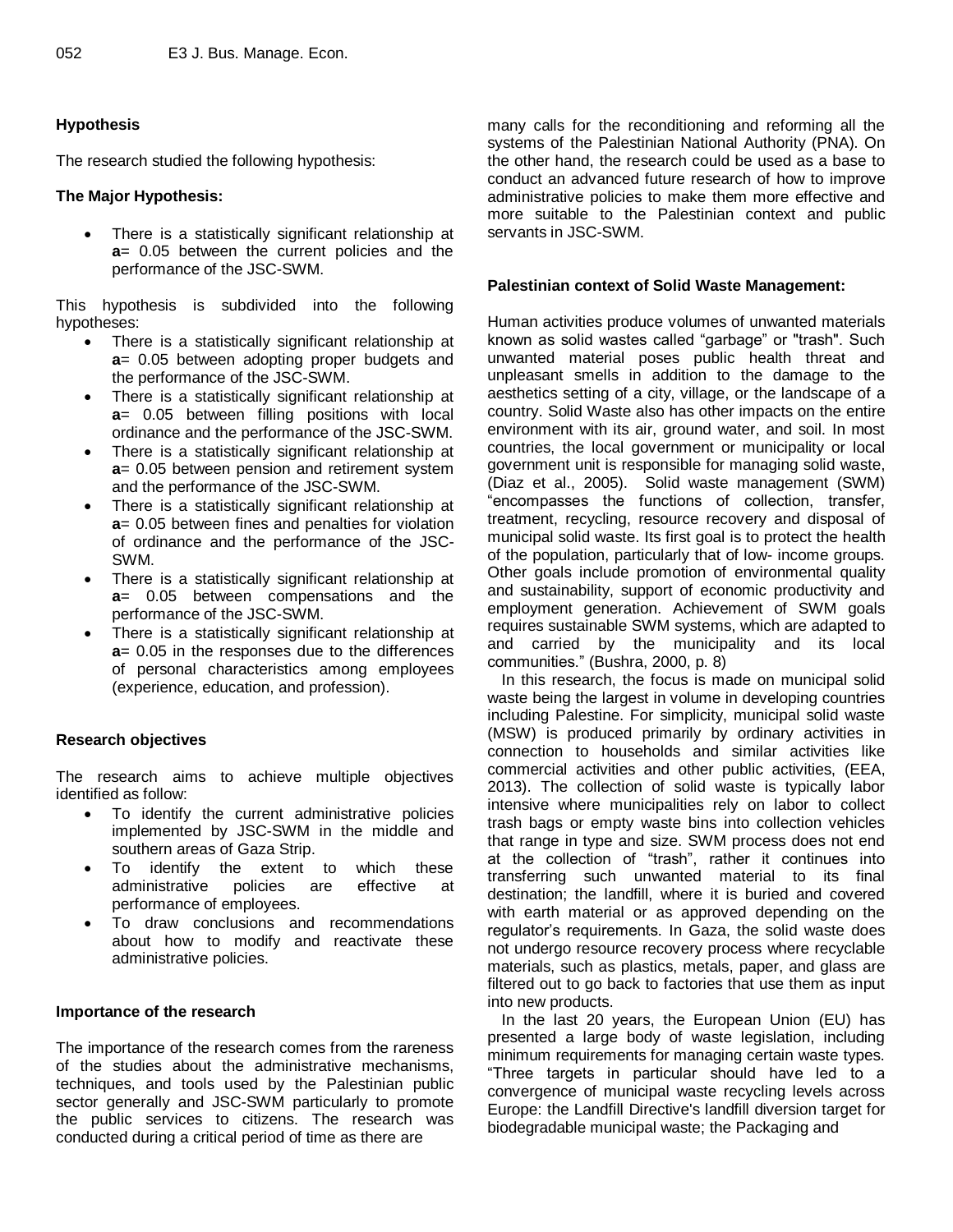## **Hypothesis**

The research studied the following hypothesis:

## **The Major Hypothesis:**

 There is a statistically significant relationship at **a**= 0.05 between the current policies and the performance of the JSC-SWM.

This hypothesis is subdivided into the following hypotheses:

- There is a statistically significant relationship at **a**= 0.05 between adopting proper budgets and the performance of the JSC-SWM.
- There is a statistically significant relationship at **a**= 0.05 between filling positions with local ordinance and the performance of the JSC-SWM.
- There is a statistically significant relationship at **a**= 0.05 between pension and retirement system and the performance of the JSC-SWM.
- There is a statistically significant relationship at **a**= 0.05 between fines and penalties for violation of ordinance and the performance of the JSC-SWM.
- There is a statistically significant relationship at **a**= 0.05 between compensations and the performance of the JSC-SWM.
- There is a statistically significant relationship at **a**= 0.05 in the responses due to the differences of personal characteristics among employees (experience, education, and profession).

## **Research objectives**

The research aims to achieve multiple objectives identified as follow:

- To identify the current administrative policies implemented by JSC-SWM in the middle and southern areas of Gaza Strip.
- To identify the extent to which these administrative policies are effective at performance of employees.
- To draw conclusions and recommendations about how to modify and reactivate these administrative policies.

## **Importance of the research**

The importance of the research comes from the rareness of the studies about the administrative mechanisms, techniques, and tools used by the Palestinian public sector generally and JSC-SWM particularly to promote the public services to citizens. The research was conducted during a critical period of time as there are

many calls for the reconditioning and reforming all the systems of the Palestinian National Authority (PNA). On the other hand, the research could be used as a base to conduct an advanced future research of how to improve administrative policies to make them more effective and more suitable to the Palestinian context and public servants in JSC-SWM.

### **Palestinian context of Solid Waste Management:**

Human activities produce volumes of unwanted materials known as solid wastes called "garbage" or "trash". Such unwanted material poses public health threat and unpleasant smells in addition to the damage to the aesthetics setting of a city, village, or the landscape of a country. Solid Waste also has other impacts on the entire environment with its air, ground water, and soil. In most countries, the local government or municipality or local government unit is responsible for managing solid waste, (Diaz et al., 2005). Solid waste management (SWM) "encompasses the functions of collection, transfer, treatment, recycling, resource recovery and disposal of municipal solid waste. Its first goal is to protect the health of the population, particularly that of low- income groups. Other goals include promotion of environmental quality and sustainability, support of economic productivity and employment generation. Achievement of SWM goals requires sustainable SWM systems, which are adapted to and carried by the municipality and its local communities." (Bushra, 2000, p. 8)

In this research, the focus is made on municipal solid waste being the largest in volume in developing countries including Palestine. For simplicity, municipal solid waste (MSW) is produced primarily by ordinary activities in connection to households and similar activities like commercial activities and other public activities, (EEA, 2013). The collection of solid waste is typically labor intensive where municipalities rely on labor to collect trash bags or empty waste bins into collection vehicles that range in type and size. SWM process does not end at the collection of "trash", rather it continues into transferring such unwanted material to its final destination; the landfill, where it is buried and covered with earth material or as approved depending on the regulator's requirements. In Gaza, the solid waste does not undergo resource recovery process where recyclable materials, such as plastics, metals, paper, and glass are filtered out to go back to factories that use them as input into new products.

In the last 20 years, the European Union (EU) has presented a large body of waste legislation, including minimum requirements for managing certain waste types. "Three targets in particular should have led to a convergence of municipal waste recycling levels across Europe: the Landfill Directive's landfill diversion target for biodegradable municipal waste; the Packaging and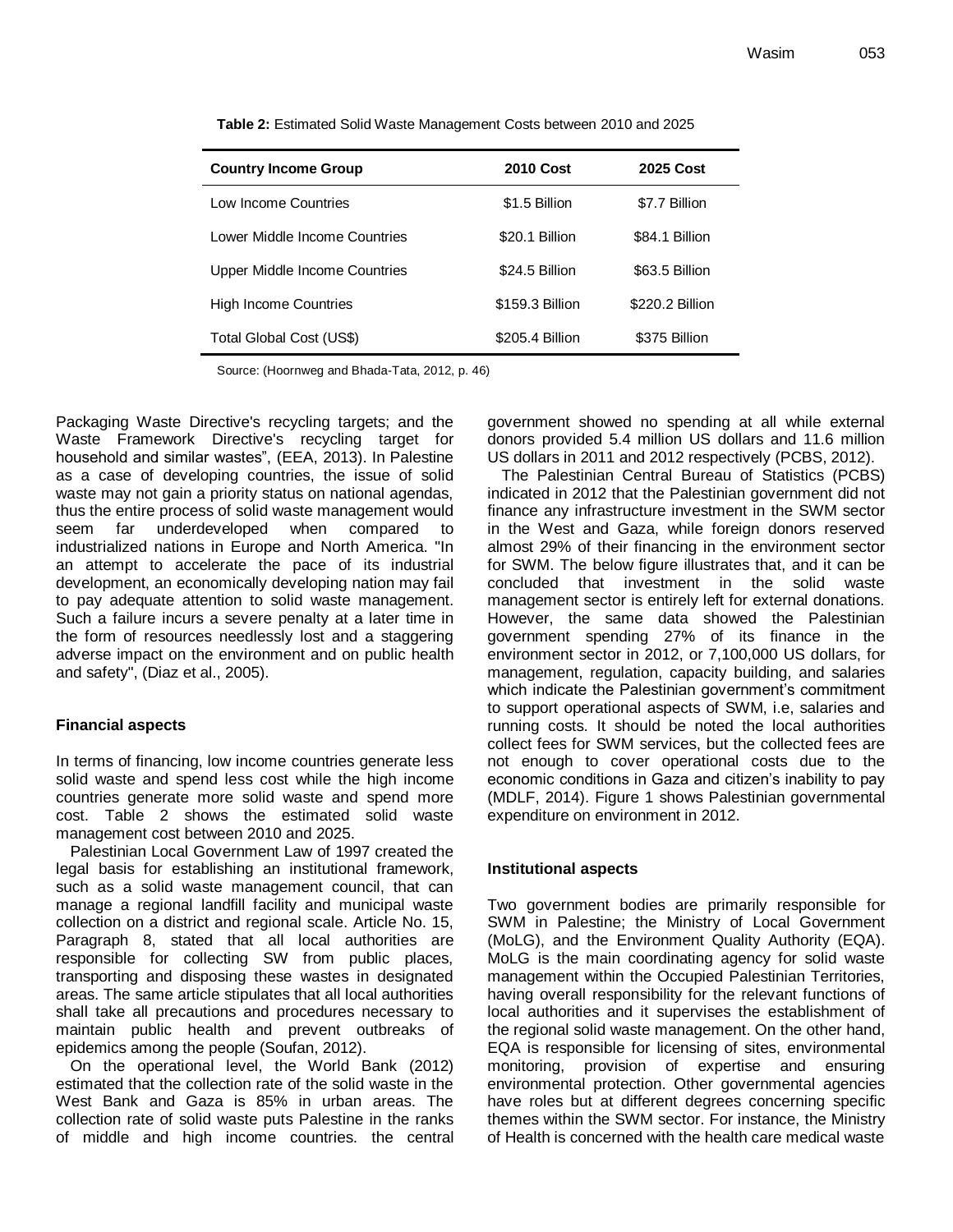| <b>Country Income Group</b>   | <b>2010 Cost</b> | <b>2025 Cost</b> |
|-------------------------------|------------------|------------------|
| Low Income Countries          | \$1.5 Billion    | \$7.7 Billion    |
| Lower Middle Income Countries | \$20.1 Billion   | \$84.1 Billion   |
| Upper Middle Income Countries | \$24.5 Billion   | \$63.5 Billion   |
| <b>High Income Countries</b>  | \$159.3 Billion  | \$220.2 Billion  |
| Total Global Cost (US\$)      | \$205.4 Billion  | \$375 Billion    |

**Table 2:** Estimated Solid Waste Management Costs between 2010 and 2025

Source: (Hoornweg and Bhada-Tata, 2012, p. 46)

Packaging Waste Directive's recycling targets; and the Waste Framework Directive's recycling target for household and similar wastes", (EEA, 2013). In Palestine as a case of developing countries, the issue of solid waste may not gain a priority status on national agendas, thus the entire process of solid waste management would seem far underdeveloped when compared to industrialized nations in Europe and North America. "In an attempt to accelerate the pace of its industrial development, an economically developing nation may fail to pay adequate attention to solid waste management. Such a failure incurs a severe penalty at a later time in the form of resources needlessly lost and a staggering adverse impact on the environment and on public health and safety", (Diaz et al., 2005).

#### **Financial aspects**

In terms of financing, low income countries generate less solid waste and spend less cost while the high income countries generate more solid waste and spend more cost. Table 2 shows the estimated solid waste management cost between 2010 and 2025.

Palestinian Local Government Law of 1997 created the legal basis for establishing an institutional framework, such as a solid waste management council, that can manage a regional landfill facility and municipal waste collection on a district and regional scale. Article No. 15, Paragraph 8, stated that all local authorities are responsible for collecting SW from public places, transporting and disposing these wastes in designated areas. The same article stipulates that all local authorities shall take all precautions and procedures necessary to maintain public health and prevent outbreaks of epidemics among the people (Soufan, 2012).

On the operational level, the World Bank (2012) estimated that the collection rate of the solid waste in the West Bank and Gaza is 85% in urban areas. The collection rate of solid waste puts Palestine in the ranks of middle and high income countries. the central government showed no spending at all while external donors provided 5.4 million US dollars and 11.6 million US dollars in 2011 and 2012 respectively (PCBS, 2012).

The Palestinian Central Bureau of Statistics (PCBS) indicated in 2012 that the Palestinian government did not finance any infrastructure investment in the SWM sector in the West and Gaza, while foreign donors reserved almost 29% of their financing in the environment sector for SWM. The below figure illustrates that, and it can be concluded that investment in the solid waste management sector is entirely left for external donations. However, the same data showed the Palestinian government spending 27% of its finance in the environment sector in 2012, or 7,100,000 US dollars, for management, regulation, capacity building, and salaries which indicate the Palestinian government's commitment to support operational aspects of SWM, i.e, salaries and running costs. It should be noted the local authorities collect fees for SWM services, but the collected fees are not enough to cover operational costs due to the economic conditions in Gaza and citizen's inability to pay (MDLF, 2014). Figure 1 shows Palestinian governmental expenditure on environment in 2012.

#### **Institutional aspects**

Two government bodies are primarily responsible for SWM in Palestine; the Ministry of Local Government (MoLG), and the Environment Quality Authority (EQA). MoLG is the main coordinating agency for solid waste management within the Occupied Palestinian Territories, having overall responsibility for the relevant functions of local authorities and it supervises the establishment of the regional solid waste management. On the other hand, EQA is responsible for licensing of sites, environmental monitoring, provision of expertise and ensuring environmental protection. Other governmental agencies have roles but at different degrees concerning specific themes within the SWM sector. For instance, the Ministry of Health is concerned with the health care medical waste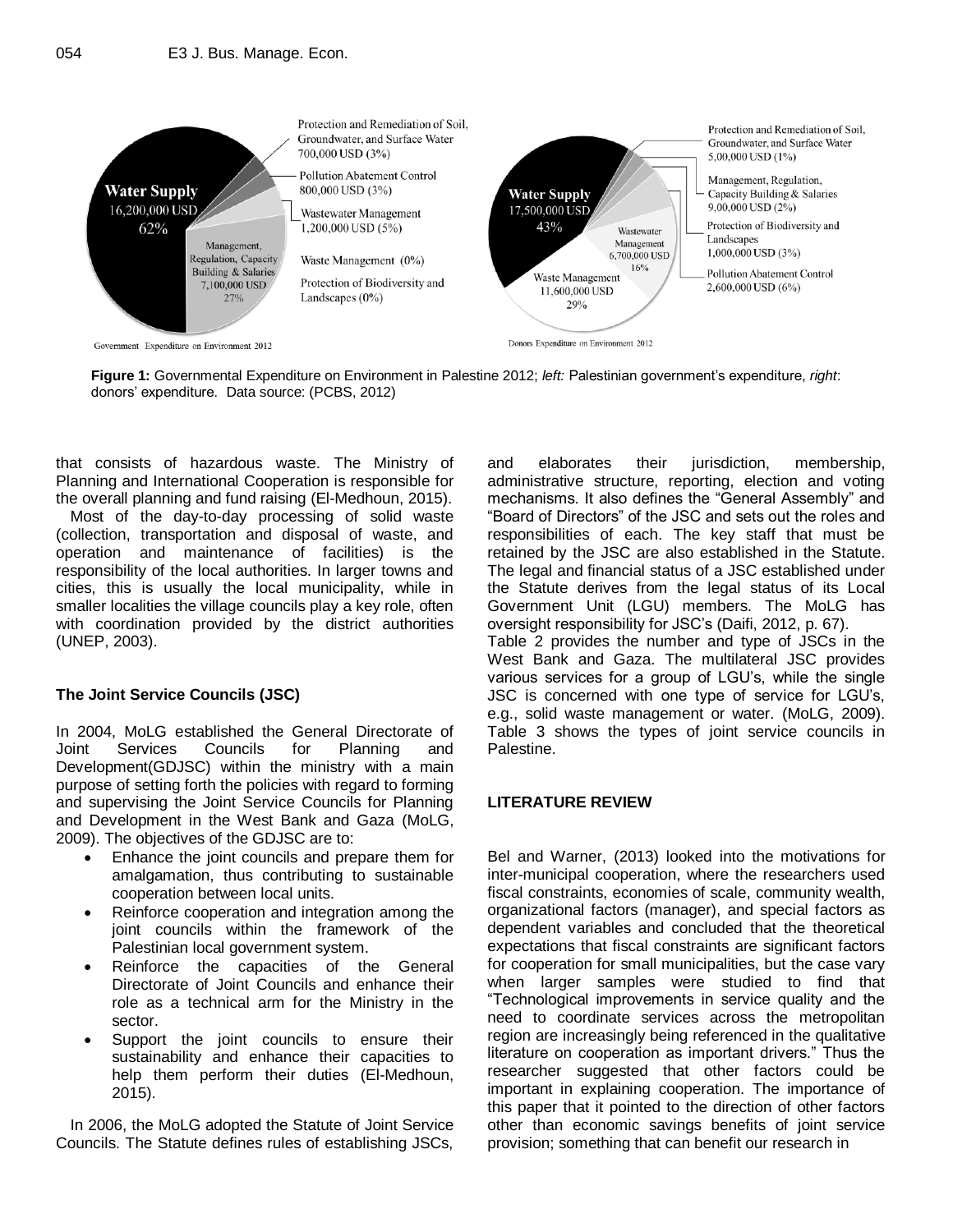

**Figure 1:** Governmental Expenditure on Environment in Palestine 2012; *left:* Palestinian government's expenditure, *right*: donors' expenditure. Data source: (PCBS, 2012)

that consists of hazardous waste. The Ministry of Planning and International Cooperation is responsible for the overall planning and fund raising (El-Medhoun, 2015).

Most of the day-to-day processing of solid waste (collection, transportation and disposal of waste, and operation and maintenance of facilities) is the responsibility of the local authorities. In larger towns and cities, this is usually the local municipality, while in smaller localities the village councils play a key role, often with coordination provided by the district authorities (UNEP, 2003).

## **The Joint Service Councils (JSC)**

In 2004, MoLG established the General Directorate of Joint Services Councils for Planning and Development(GDJSC) within the ministry with a main purpose of setting forth the policies with regard to forming and supervising the Joint Service Councils for Planning and Development in the West Bank and Gaza (MoLG, 2009). The objectives of the GDJSC are to:

- Enhance the joint councils and prepare them for amalgamation, thus contributing to sustainable cooperation between local units.
- Reinforce cooperation and integration among the joint councils within the framework of the Palestinian local government system.
- Reinforce the capacities of the General Directorate of Joint Councils and enhance their role as a technical arm for the Ministry in the sector.
- Support the joint councils to ensure their sustainability and enhance their capacities to help them perform their duties (El-Medhoun, 2015).

In 2006, the MoLG adopted the Statute of Joint Service Councils. The Statute defines rules of establishing JSCs, and elaborates their jurisdiction, membership, administrative structure, reporting, election and voting mechanisms. It also defines the "General Assembly" and "Board of Directors" of the JSC and sets out the roles and responsibilities of each. The key staff that must be retained by the JSC are also established in the Statute. The legal and financial status of a JSC established under the Statute derives from the legal status of its Local Government Unit (LGU) members. The MoLG has oversight responsibility for JSC's (Daifi, 2012, p. 67). Table 2 provides the number and type of JSCs in the West Bank and Gaza. The multilateral JSC provides various services for a group of LGU's, while the single JSC is concerned with one type of service for LGU's, e.g., solid waste management or water. (MoLG, 2009). Table 3 shows the types of joint service councils in Palestine.

#### **LITERATURE REVIEW**

Bel and Warner, (2013) looked into the motivations for inter-municipal cooperation, where the researchers used fiscal constraints, economies of scale, community wealth, organizational factors (manager), and special factors as dependent variables and concluded that the theoretical expectations that fiscal constraints are significant factors for cooperation for small municipalities, but the case vary when larger samples were studied to find that "Technological improvements in service quality and the need to coordinate services across the metropolitan region are increasingly being referenced in the qualitative literature on cooperation as important drivers." Thus the researcher suggested that other factors could be important in explaining cooperation. The importance of this paper that it pointed to the direction of other factors other than economic savings benefits of joint service provision; something that can benefit our research in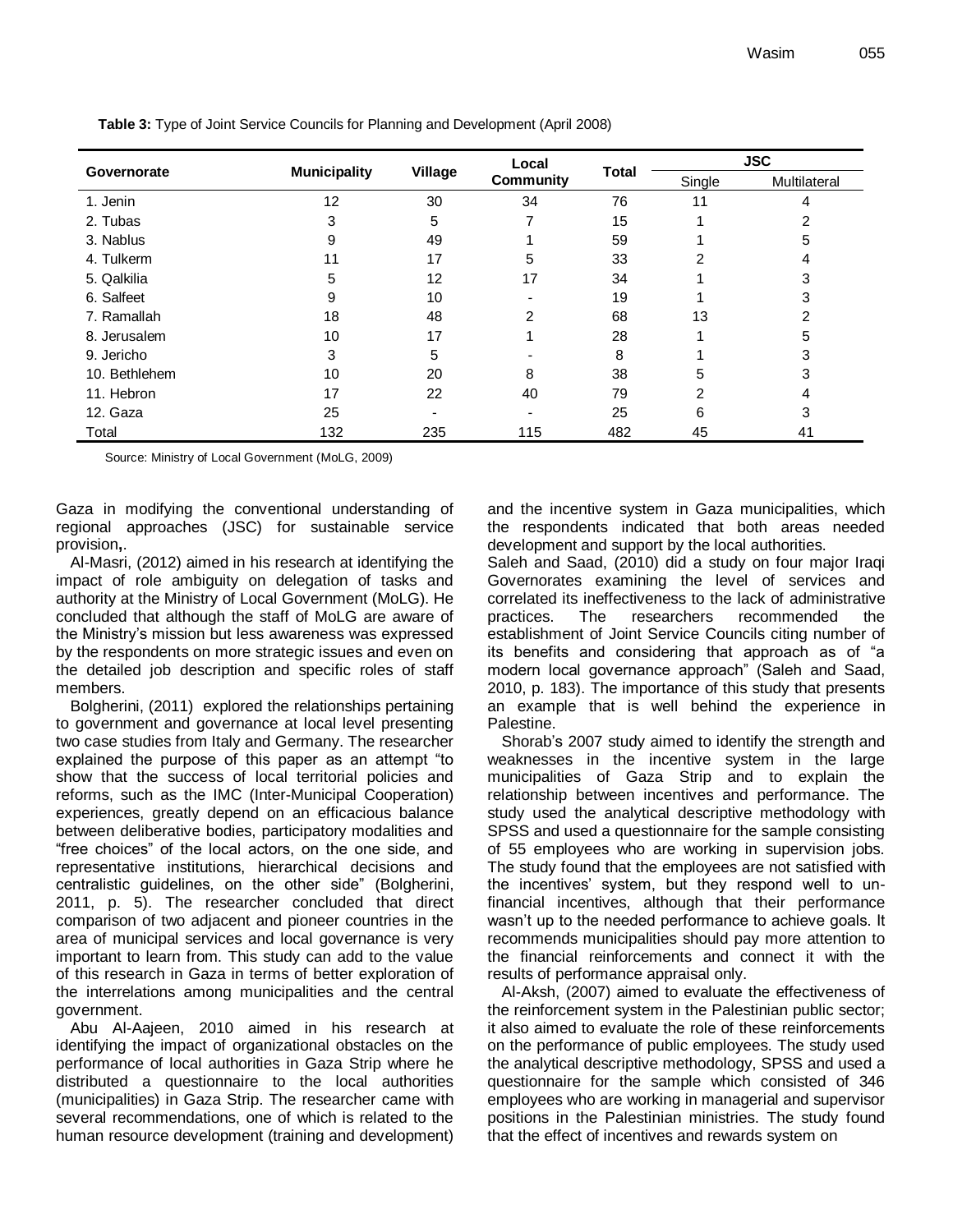| Governorate   |                     | Village | Local            |              | <b>JSC</b> |              |  |
|---------------|---------------------|---------|------------------|--------------|------------|--------------|--|
|               | <b>Municipality</b> |         | <b>Community</b> | <b>Total</b> | Single     | Multilateral |  |
| 1. Jenin      | 12                  | 30      | 34               | 76           | 11         | 4            |  |
| 2. Tubas      | 3                   | 5       |                  | 15           |            | 2            |  |
| 3. Nablus     | 9                   | 49      |                  | 59           |            | 5            |  |
| 4. Tulkerm    | 11                  | 17      | 5                | 33           | 2          | 4            |  |
| 5. Qalkilia   | 5                   | 12      | 17               | 34           |            | 3            |  |
| 6. Salfeet    | 9                   | 10      |                  | 19           |            | 3            |  |
| 7. Ramallah   | 18                  | 48      | $\overline{2}$   | 68           | 13         | 2            |  |
| 8. Jerusalem  | 10                  | 17      |                  | 28           |            | 5            |  |
| 9. Jericho    | 3                   | 5       |                  | 8            |            | 3            |  |
| 10. Bethlehem | 10                  | 20      | 8                | 38           | 5          | 3            |  |
| 11. Hebron    | 17                  | 22      | 40               | 79           | 2          | 4            |  |
| 12. Gaza      | 25                  |         |                  | 25           | 6          | 3            |  |
| Total         | 132                 | 235     | 115              | 482          | 45         | 41           |  |

**Table 3:** Type of Joint Service Councils for Planning and Development (April 2008)

Source: Ministry of Local Government (MoLG, 2009)

Gaza in modifying the conventional understanding of regional approaches (JSC) for sustainable service provision**,**.

Al-Masri, (2012) aimed in his research at identifying the impact of role ambiguity on delegation of tasks and authority at the Ministry of Local Government (MoLG). He concluded that although the staff of MoLG are aware of the Ministry's mission but less awareness was expressed by the respondents on more strategic issues and even on the detailed job description and specific roles of staff members.

Bolgherini, (2011) explored the relationships pertaining to government and governance at local level presenting two case studies from Italy and Germany. The researcher explained the purpose of this paper as an attempt "to show that the success of local territorial policies and reforms, such as the IMC (Inter-Municipal Cooperation) experiences, greatly depend on an efficacious balance between deliberative bodies, participatory modalities and "free choices" of the local actors, on the one side, and representative institutions, hierarchical decisions and centralistic guidelines, on the other side" (Bolgherini, 2011, p. 5). The researcher concluded that direct comparison of two adjacent and pioneer countries in the area of municipal services and local governance is very important to learn from. This study can add to the value of this research in Gaza in terms of better exploration of the interrelations among municipalities and the central government.

Abu Al-Aajeen, 2010 aimed in his research at identifying the impact of organizational obstacles on the performance of local authorities in Gaza Strip where he distributed a questionnaire to the local authorities (municipalities) in Gaza Strip. The researcher came with several recommendations, one of which is related to the human resource development (training and development)

and the incentive system in Gaza municipalities, which the respondents indicated that both areas needed development and support by the local authorities.

Saleh and Saad, (2010) did a study on four major Iraqi Governorates examining the level of services and correlated its ineffectiveness to the lack of administrative practices. The researchers recommended the establishment of Joint Service Councils citing number of its benefits and considering that approach as of "a modern local governance approach" (Saleh and Saad, 2010, p. 183). The importance of this study that presents an example that is well behind the experience in Palestine.

Shorab's 2007 study aimed to identify the strength and weaknesses in the incentive system in the large municipalities of Gaza Strip and to explain the relationship between incentives and performance. The study used the analytical descriptive methodology with SPSS and used a questionnaire for the sample consisting of 55 employees who are working in supervision jobs. The study found that the employees are not satisfied with the incentives' system, but they respond well to unfinancial incentives, although that their performance wasn't up to the needed performance to achieve goals. It recommends municipalities should pay more attention to the financial reinforcements and connect it with the results of performance appraisal only.

Al-Aksh, (2007) aimed to evaluate the effectiveness of the reinforcement system in the Palestinian public sector; it also aimed to evaluate the role of these reinforcements on the performance of public employees. The study used the analytical descriptive methodology, SPSS and used a questionnaire for the sample which consisted of 346 employees who are working in managerial and supervisor positions in the Palestinian ministries. The study found that the effect of incentives and rewards system on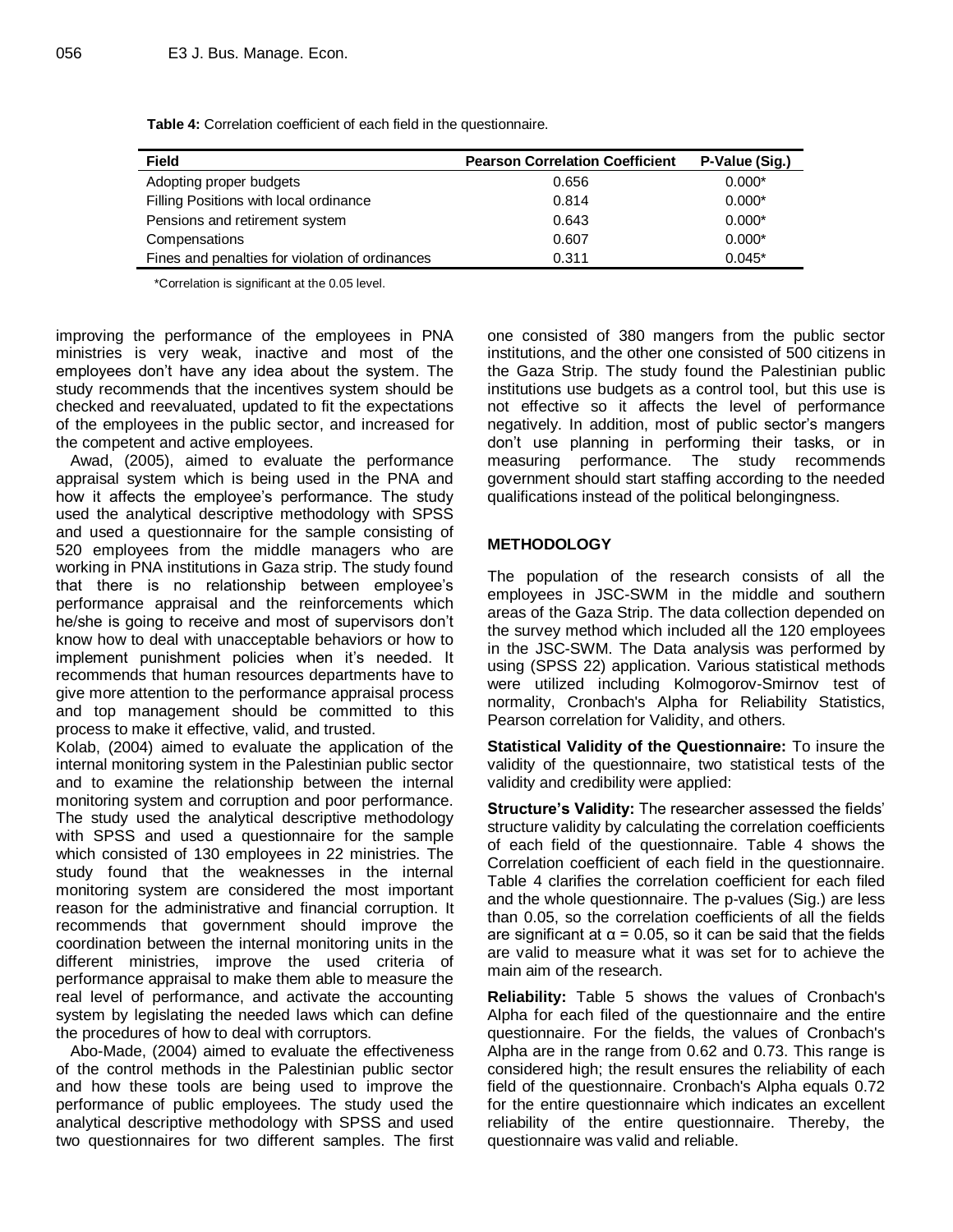| <b>Field</b>                                    | <b>Pearson Correlation Coefficient</b> | P-Value (Sig.) |
|-------------------------------------------------|----------------------------------------|----------------|
| Adopting proper budgets                         | 0.656                                  | $0.000*$       |
| Filling Positions with local ordinance          | 0.814                                  | $0.000*$       |
| Pensions and retirement system                  | 0.643                                  | $0.000*$       |
| Compensations                                   | 0.607                                  | $0.000*$       |
| Fines and penalties for violation of ordinances | 0.311                                  | $0.045*$       |

**Table 4:** Correlation coefficient of each field in the questionnaire.

\*Correlation is significant at the 0.05 level.

improving the performance of the employees in PNA ministries is very weak, inactive and most of the employees don't have any idea about the system. The study recommends that the incentives system should be checked and reevaluated, updated to fit the expectations of the employees in the public sector, and increased for the competent and active employees.

Awad, (2005), aimed to evaluate the performance appraisal system which is being used in the PNA and how it affects the employee's performance. The study used the analytical descriptive methodology with SPSS and used a questionnaire for the sample consisting of 520 employees from the middle managers who are working in PNA institutions in Gaza strip. The study found that there is no relationship between employee's performance appraisal and the reinforcements which he/she is going to receive and most of supervisors don't know how to deal with unacceptable behaviors or how to implement punishment policies when it's needed. It recommends that human resources departments have to give more attention to the performance appraisal process and top management should be committed to this process to make it effective, valid, and trusted.

Kolab, (2004) aimed to evaluate the application of the internal monitoring system in the Palestinian public sector and to examine the relationship between the internal monitoring system and corruption and poor performance. The study used the analytical descriptive methodology with SPSS and used a questionnaire for the sample which consisted of 130 employees in 22 ministries. The study found that the weaknesses in the internal monitoring system are considered the most important reason for the administrative and financial corruption. It recommends that government should improve the coordination between the internal monitoring units in the different ministries, improve the used criteria of performance appraisal to make them able to measure the real level of performance, and activate the accounting system by legislating the needed laws which can define the procedures of how to deal with corruptors.

Abo-Made, (2004) aimed to evaluate the effectiveness of the control methods in the Palestinian public sector and how these tools are being used to improve the performance of public employees. The study used the analytical descriptive methodology with SPSS and used two questionnaires for two different samples. The first one consisted of 380 mangers from the public sector institutions, and the other one consisted of 500 citizens in the Gaza Strip. The study found the Palestinian public institutions use budgets as a control tool, but this use is not effective so it affects the level of performance negatively. In addition, most of public sector's mangers don't use planning in performing their tasks, or in measuring performance. The study recommends government should start staffing according to the needed qualifications instead of the political belongingness.

## **METHODOLOGY**

The population of the research consists of all the employees in JSC-SWM in the middle and southern areas of the Gaza Strip. The data collection depended on the survey method which included all the 120 employees in the JSC-SWM. The Data analysis was performed by using (SPSS 22) application. Various statistical methods were utilized including Kolmogorov-Smirnov test of normality, Cronbach's Alpha for Reliability Statistics, Pearson correlation for Validity, and others.

**Statistical Validity of the Questionnaire:** To insure the validity of the questionnaire, two statistical tests of the validity and credibility were applied:

**Structure's Validity:** The researcher assessed the fields' structure validity by calculating the correlation coefficients of each field of the questionnaire. Table 4 shows the Correlation coefficient of each field in the questionnaire. Table 4 clarifies the correlation coefficient for each filed and the whole questionnaire. The p-values (Sig.) are less than 0.05, so the correlation coefficients of all the fields are significant at  $\alpha$  = 0.05, so it can be said that the fields are valid to measure what it was set for to achieve the main aim of the research.

**Reliability:** Table 5 shows the values of Cronbach's Alpha for each filed of the questionnaire and the entire questionnaire. For the fields, the values of Cronbach's Alpha are in the range from 0.62 and 0.73. This range is considered high; the result ensures the reliability of each field of the questionnaire. Cronbach's Alpha equals 0.72 for the entire questionnaire which indicates an excellent reliability of the entire questionnaire. Thereby, the questionnaire was valid and reliable.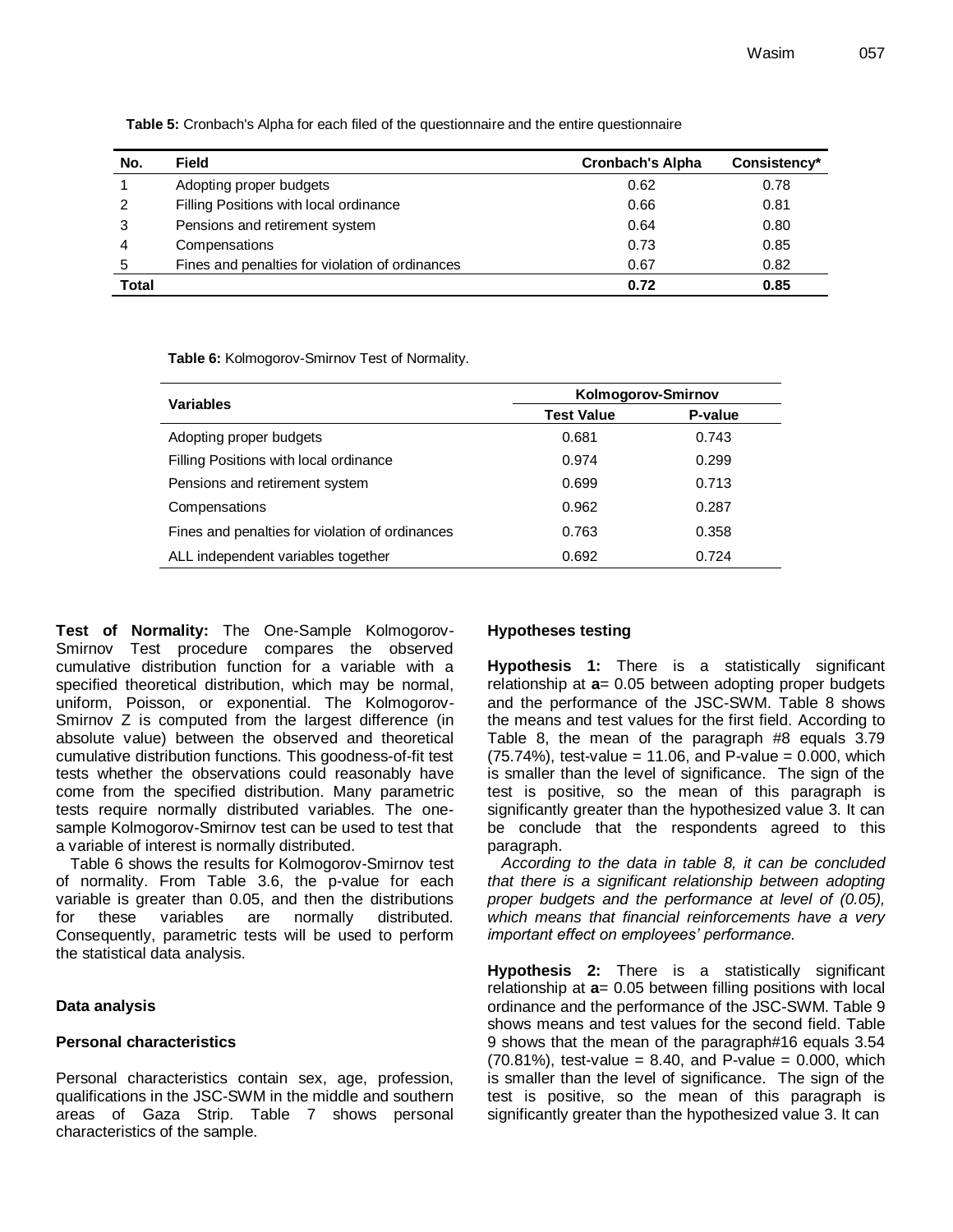| No.          | <b>Field</b>                                    | <b>Cronbach's Alpha</b> | Consistency* |
|--------------|-------------------------------------------------|-------------------------|--------------|
|              | Adopting proper budgets                         | 0.62                    | 0.78         |
| 2            | Filling Positions with local ordinance          | 0.66                    | 0.81         |
| 3            | Pensions and retirement system                  | 0.64                    | 0.80         |
| 4            | Compensations                                   | 0.73                    | 0.85         |
| 5            | Fines and penalties for violation of ordinances | 0.67                    | 0.82         |
| <b>Total</b> |                                                 | 0.72                    | 0.85         |

**Table 5:** Cronbach's Alpha for each filed of the questionnaire and the entire questionnaire

**Table 6:** Kolmogorov-Smirnov Test of Normality.

| <b>Variables</b>                                | Kolmogorov-Smirnov |         |  |  |
|-------------------------------------------------|--------------------|---------|--|--|
|                                                 | <b>Test Value</b>  | P-value |  |  |
| Adopting proper budgets                         | 0.681              | 0.743   |  |  |
| Filling Positions with local ordinance          | 0.974              | 0.299   |  |  |
| Pensions and retirement system                  | 0.699              | 0.713   |  |  |
| Compensations                                   | 0.962              | 0.287   |  |  |
| Fines and penalties for violation of ordinances | 0.763              | 0.358   |  |  |
| ALL independent variables together              | 0.692              | 0.724   |  |  |

**Test of Normality:** The One-Sample Kolmogorov-Smirnov Test procedure compares the observed cumulative distribution function for a variable with a specified theoretical distribution, which may be normal, uniform, Poisson, or exponential. The Kolmogorov-Smirnov Z is computed from the largest difference (in absolute value) between the observed and theoretical cumulative distribution functions. This goodness-of-fit test tests whether the observations could reasonably have come from the specified distribution. Many parametric tests require normally distributed variables. The onesample Kolmogorov-Smirnov test can be used to test that a variable of interest is normally distributed.

Table 6 shows the results for Kolmogorov-Smirnov test of normality. From Table 3.6, the p-value for each variable is greater than 0.05, and then the distributions for these variables are normally distributed. Consequently, parametric tests will be used to perform the statistical data analysis.

## **Data analysis**

## **Personal characteristics**

Personal characteristics contain sex, age, profession, qualifications in the JSC-SWM in the middle and southern areas of Gaza Strip. Table 7 shows personal characteristics of the sample.

## **Hypotheses testing**

**Hypothesis 1:** There is a statistically significant relationship at **a**= 0.05 between adopting proper budgets and the performance of the JSC-SWM. Table 8 shows the means and test values for the first field. According to Table 8, the mean of the paragraph #8 equals 3.79  $(75.74%)$ , test-value = 11.06, and P-value = 0.000, which is smaller than the level of significance. The sign of the test is positive, so the mean of this paragraph is significantly greater than the hypothesized value 3. It can be conclude that the respondents agreed to this paragraph.

*According to the data in table 8, it can be concluded that there is a significant relationship between adopting proper budgets and the performance at level of (0.05), which means that financial reinforcements have a very important effect on employees' performance.*

**Hypothesis 2:** There is a statistically significant relationship at **a**= 0.05 between filling positions with local ordinance and the performance of the JSC-SWM. Table 9 shows means and test values for the second field. Table 9 shows that the mean of the paragraph#16 equals 3.54 (70.81%), test-value = 8.40, and P-value = 0.000, which is smaller than the level of significance. The sign of the test is positive, so the mean of this paragraph is significantly greater than the hypothesized value 3. It can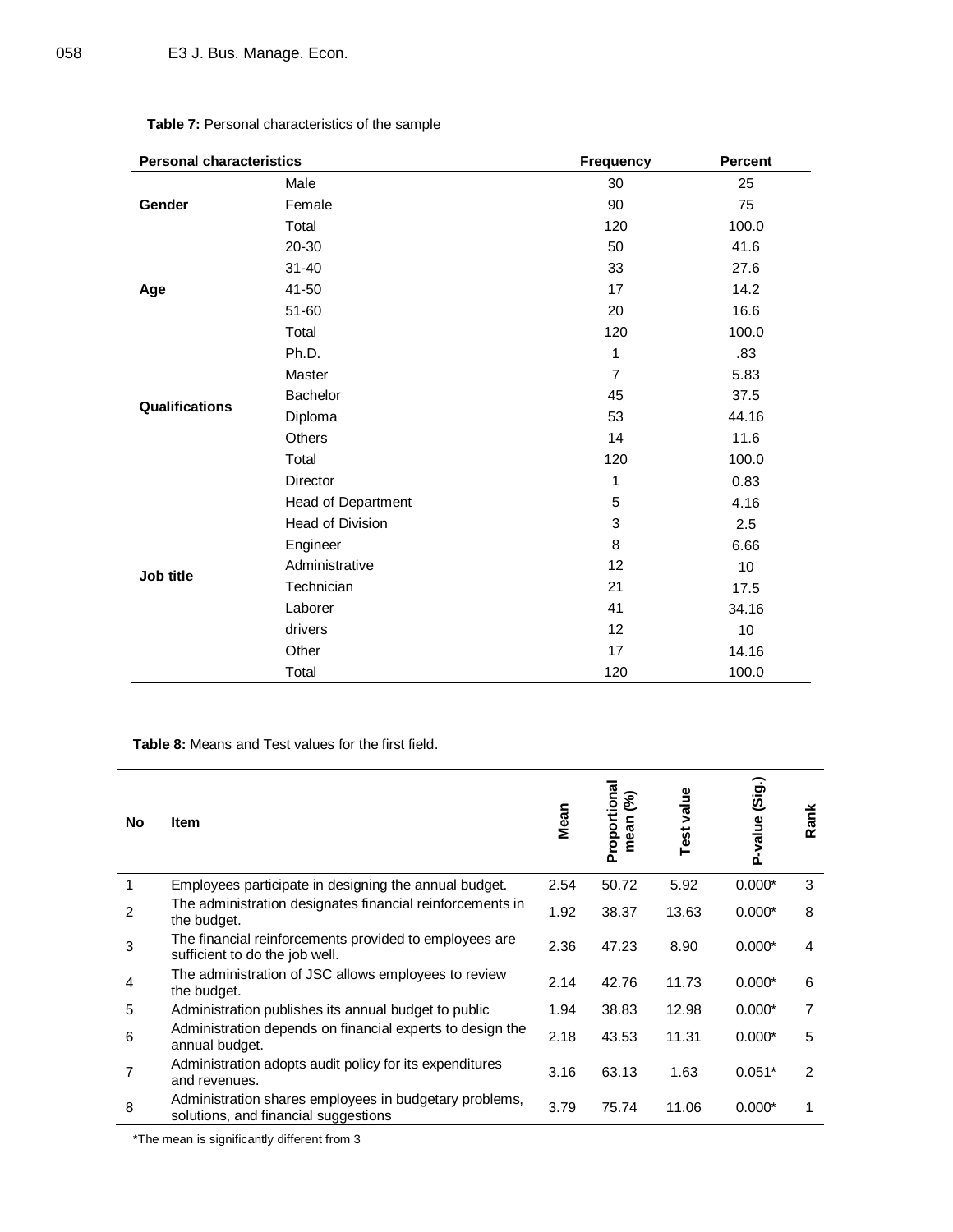| Dercenal obergeteristies                               |  |
|--------------------------------------------------------|--|
| <b>Table 7:</b> Personal characteristics of the sample |  |
|                                                        |  |

| <b>Personal characteristics</b> |                    | <b>Frequency</b> | <b>Percent</b> |
|---------------------------------|--------------------|------------------|----------------|
|                                 | Male               | 30               | 25             |
| Gender                          | Female             | 90               | 75             |
|                                 | Total              | 120              | 100.0          |
|                                 | 20-30              | 50               | 41.6           |
|                                 | $31 - 40$          | 33               | 27.6           |
| Age                             | 41-50              | 17               | 14.2           |
|                                 | $51 - 60$          | 20               | 16.6           |
|                                 | Total              | 120              | 100.0          |
|                                 | Ph.D.              | 1                | .83            |
|                                 | Master             | $\overline{7}$   | 5.83           |
| <b>Qualifications</b>           | Bachelor           | 45               | 37.5           |
|                                 | Diploma            | 53               | 44.16          |
|                                 | Others             | 14               | 11.6           |
|                                 | Total              | 120              | 100.0          |
|                                 | Director           | 1                | 0.83           |
|                                 | Head of Department | 5                | 4.16           |
|                                 | Head of Division   | 3                | 2.5            |
|                                 | Engineer           | 8                | 6.66           |
| Job title                       | Administrative     | 12               | 10             |
|                                 | Technician         | 21               | 17.5           |
|                                 | Laborer            | 41               | 34.16          |
|                                 | drivers            | 12               | 10             |
|                                 | Other              | 17               | 14.16          |
|                                 | Total              | 120              | 100.0          |

**Table 8:** Means and Test values for the first field.

| No | <b>Item</b>                                                                                    | Mean | Proportional<br>$\mathcal{S}$<br>mean | value<br>Test | P-value (Sig.) | Rank |
|----|------------------------------------------------------------------------------------------------|------|---------------------------------------|---------------|----------------|------|
| 1  | Employees participate in designing the annual budget.                                          | 2.54 | 50.72                                 | 5.92          | $0.000*$       | 3    |
| 2  | The administration designates financial reinforcements in<br>the budget.                       | 1.92 | 38.37                                 | 13.63         | $0.000*$       | 8    |
| 3  | The financial reinforcements provided to employees are<br>sufficient to do the job well.       | 2.36 | 47.23                                 | 8.90          | $0.000*$       | 4    |
| 4  | The administration of JSC allows employees to review<br>the budget.                            | 2.14 | 42.76                                 | 11.73         | $0.000*$       | 6    |
| 5  | Administration publishes its annual budget to public                                           | 1.94 | 38.83                                 | 12.98         | $0.000*$       | 7    |
| 6  | Administration depends on financial experts to design the<br>annual budget.                    | 2.18 | 43.53                                 | 11.31         | $0.000*$       | 5    |
| 7  | Administration adopts audit policy for its expenditures<br>and revenues.                       | 3.16 | 63.13                                 | 1.63          | $0.051*$       | 2    |
| 8  | Administration shares employees in budgetary problems,<br>solutions, and financial suggestions | 3.79 | 75.74                                 | 11.06         | $0.000*$       |      |

\*The mean is significantly different from 3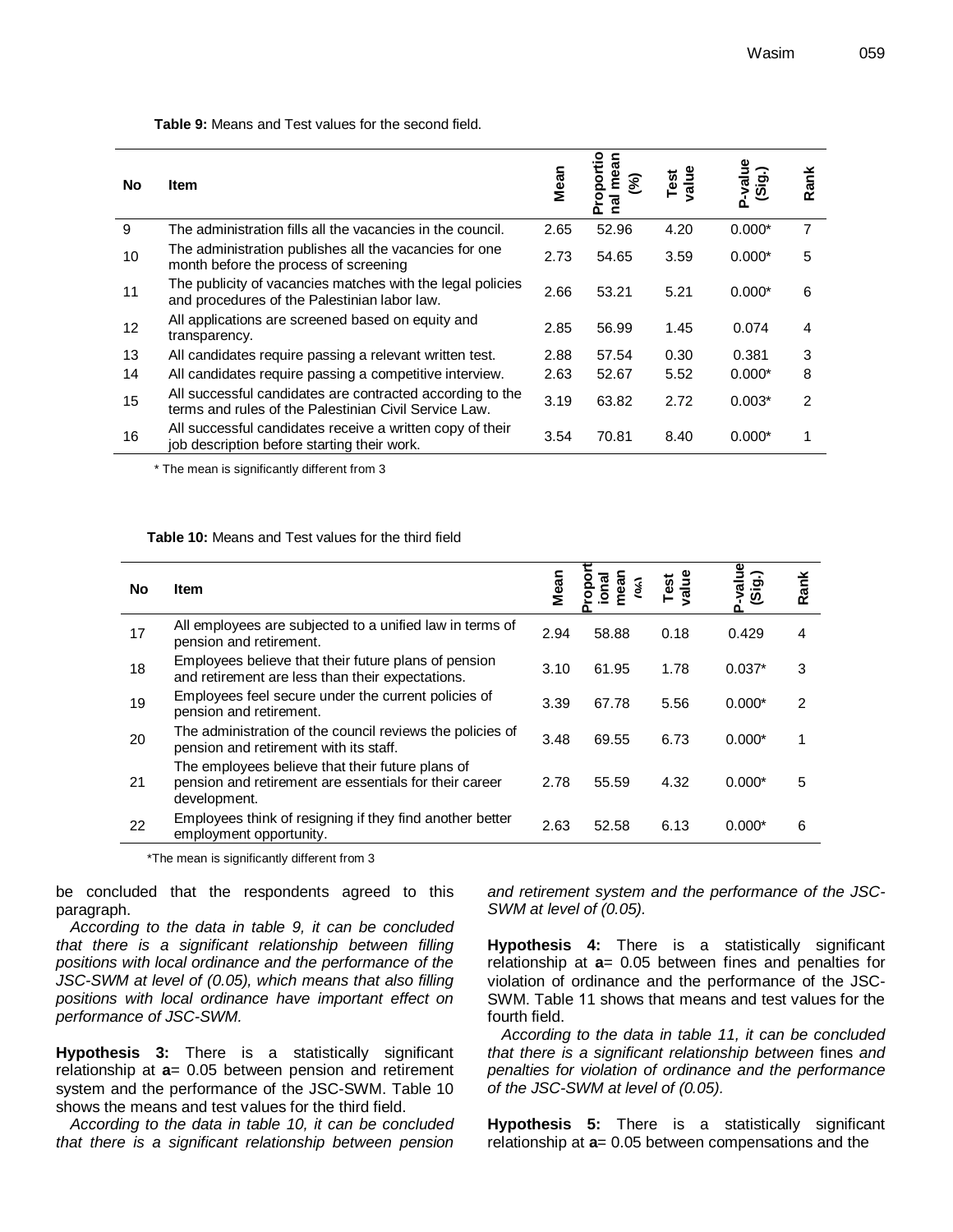**Table 9:** Means and Test values for the second field.

| No | Item                                                                                                               | Mean | ii<br>o<br>$\mathcal{S}_{\mathbf{e}}$ | Test<br>value | -value<br>(Sig.)<br>Ő. | Rank |
|----|--------------------------------------------------------------------------------------------------------------------|------|---------------------------------------|---------------|------------------------|------|
| 9  | The administration fills all the vacancies in the council.                                                         | 2.65 | 52.96                                 | 4.20          | $0.000*$               |      |
| 10 | The administration publishes all the vacancies for one<br>month before the process of screening                    | 2.73 | 54.65                                 | 3.59          | $0.000*$               | 5    |
| 11 | The publicity of vacancies matches with the legal policies<br>and procedures of the Palestinian labor law.         | 2.66 | 53.21                                 | 5.21          | $0.000*$               | 6    |
| 12 | All applications are screened based on equity and<br>transparency.                                                 | 2.85 | 56.99                                 | 1.45          | 0.074                  | 4    |
| 13 | All candidates require passing a relevant written test.                                                            | 2.88 | 57.54                                 | 0.30          | 0.381                  | 3    |
| 14 | All candidates require passing a competitive interview.                                                            | 2.63 | 52.67                                 | 5.52          | $0.000*$               | 8    |
| 15 | All successful candidates are contracted according to the<br>terms and rules of the Palestinian Civil Service Law. | 3.19 | 63.82                                 | 2.72          | $0.003*$               | 2    |
| 16 | All successful candidates receive a written copy of their<br>job description before starting their work.           | 3.54 | 70.81                                 | 8.40          | $0.000*$               |      |

\* The mean is significantly different from 3

#### **Table 10:** Means and Test values for the third field

| No | <b>Item</b>                                                                                                                | Mean | nean<br>Ş | Test<br>value | alue<br>(Sig.) | Rank |
|----|----------------------------------------------------------------------------------------------------------------------------|------|-----------|---------------|----------------|------|
| 17 | All employees are subjected to a unified law in terms of<br>pension and retirement.                                        | 2.94 | 58.88     | 0.18          | 0.429          | 4    |
| 18 | Employees believe that their future plans of pension<br>and retirement are less than their expectations.                   | 3.10 | 61.95     | 1.78          | $0.037*$       | 3    |
| 19 | Employees feel secure under the current policies of<br>pension and retirement.                                             | 3.39 | 67.78     | 5.56          | $0.000*$       | 2    |
| 20 | The administration of the council reviews the policies of<br>pension and retirement with its staff.                        | 3.48 | 69.55     | 6.73          | $0.000*$       |      |
| 21 | The employees believe that their future plans of<br>pension and retirement are essentials for their career<br>development. | 2.78 | 55.59     | 4.32          | $0.000*$       | 5    |
| 22 | Employees think of resigning if they find another better<br>employment opportunity.                                        | 2.63 | 52.58     | 6.13          | $0.000*$       | 6    |

\*The mean is significantly different from 3

be concluded that the respondents agreed to this paragraph.

*According to the data in table 9, it can be concluded that there is a significant relationship between filling positions with local ordinance and the performance of the JSC-SWM at level of (0.05), which means that also filling positions with local ordinance have important effect on performance of JSC-SWM.* 

**Hypothesis 3:** There is a statistically significant relationship at **a**= 0.05 between pension and retirement system and the performance of the JSC-SWM. Table 10 shows the means and test values for the third field.

*According to the data in table 10, it can be concluded that there is a significant relationship between pension*  *and retirement system and the performance of the JSC-SWM at level of (0.05).*

**Hypothesis 4:** There is a statistically significant relationship at **a**= 0.05 between fines and penalties for violation of ordinance and the performance of the JSC-SWM. Table 11 shows that means and test values for the fourth field.

*According to the data in table 11, it can be concluded that there is a significant relationship between* fines *and penalties for violation of ordinance and the performance of the JSC-SWM at level of (0.05).* 

**Hypothesis 5:** There is a statistically significant relationship at **a**= 0.05 between compensations and the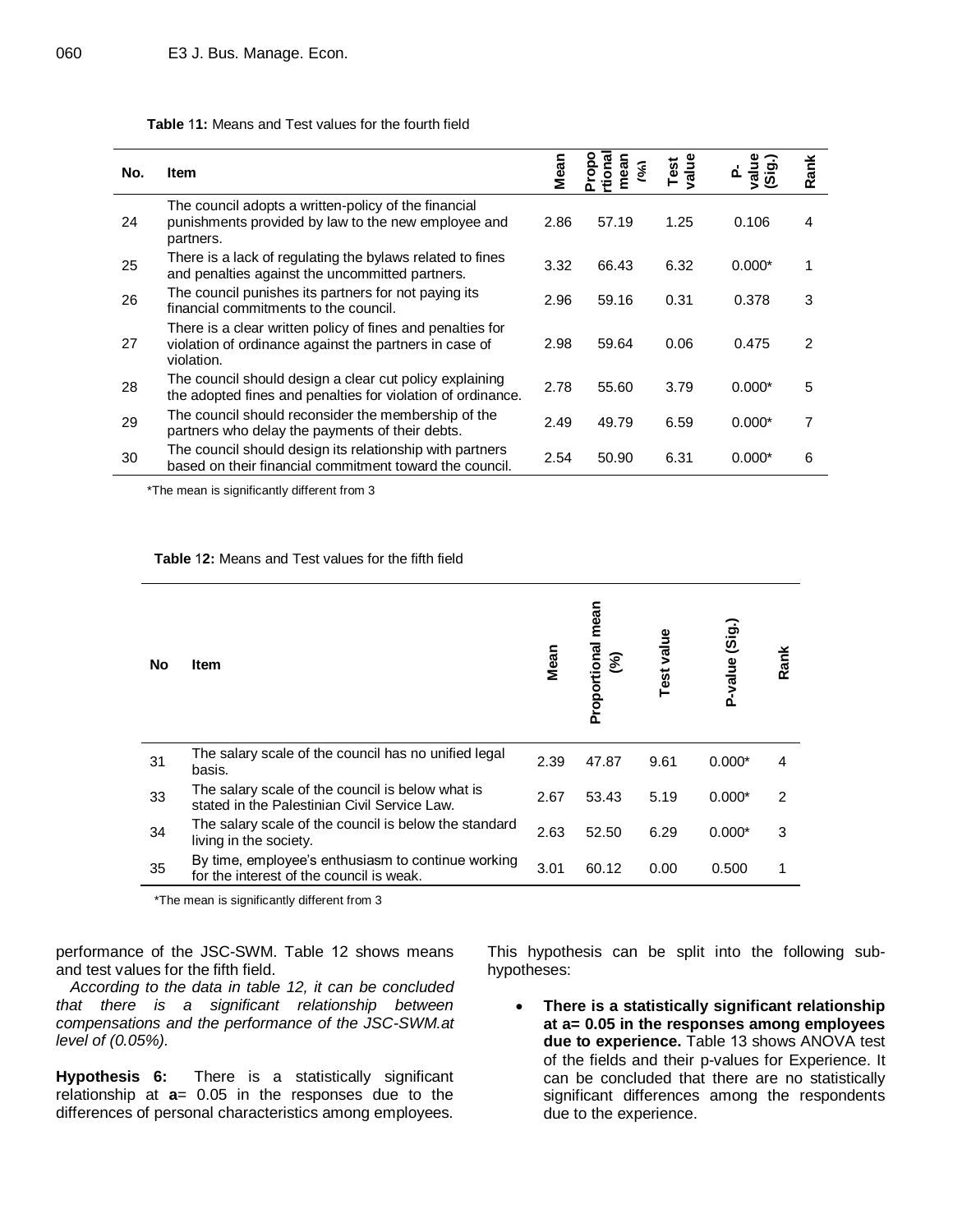#### **Table** 1**1:** Means and Test values for the fourth field

| No. | <b>Item</b>                                                                                                                        | Mean | ဇူ<br>ಹ | value<br>Test |          | ank<br>œ |
|-----|------------------------------------------------------------------------------------------------------------------------------------|------|---------|---------------|----------|----------|
| 24  | The council adopts a written-policy of the financial<br>punishments provided by law to the new employee and<br>partners.           | 2.86 | 57.19   | 1.25          | 0.106    | 4        |
| 25  | There is a lack of regulating the bylaws related to fines<br>and penalties against the uncommitted partners.                       | 3.32 | 66.43   | 6.32          | $0.000*$ | 1        |
| 26  | The council punishes its partners for not paying its<br>financial commitments to the council.                                      | 2.96 | 59.16   | 0.31          | 0.378    | 3        |
| 27  | There is a clear written policy of fines and penalties for<br>violation of ordinance against the partners in case of<br>violation. | 2.98 | 59.64   | 0.06          | 0.475    | 2        |
| 28  | The council should design a clear cut policy explaining<br>the adopted fines and penalties for violation of ordinance.             | 2.78 | 55.60   | 3.79          | $0.000*$ | 5        |
| 29  | The council should reconsider the membership of the<br>partners who delay the payments of their debts.                             | 2.49 | 49.79   | 6.59          | $0.000*$ | 7        |
| 30  | The council should design its relationship with partners<br>based on their financial commitment toward the council.                | 2.54 | 50.90   | 6.31          | $0.000*$ | 6        |

\*The mean is significantly different from 3

#### **Table** 1**2:** Means and Test values for the fifth field

| No | Item                                                                                             | Mean | mean<br>Proportional<br>$\mathcal{S}$ | value<br>Test | (Sig.)<br>P-value | Rank |
|----|--------------------------------------------------------------------------------------------------|------|---------------------------------------|---------------|-------------------|------|
| 31 | The salary scale of the council has no unified legal<br>basis.                                   | 2.39 | 47.87                                 | 9.61          | $0.000*$          | 4    |
| 33 | The salary scale of the council is below what is<br>stated in the Palestinian Civil Service Law. | 2.67 | 53.43                                 | 5.19          | $0.000*$          | 2    |
| 34 | The salary scale of the council is below the standard<br>living in the society.                  | 2.63 | 52.50                                 | 6.29          | $0.000*$          | 3    |
| 35 | By time, employee's enthusiasm to continue working<br>for the interest of the council is weak.   | 3.01 | 60.12                                 | 0.00          | 0.500             | 1    |

\*The mean is significantly different from 3

performance of the JSC-SWM. Table 12 shows means and test values for the fifth field.

*According to the data in table 12, it can be concluded that there is a significant relationship between compensations and the performance of the JSC-SWM.at level of (0.05%).*

**Hypothesis 6:** There is a statistically significant relationship at **a**= 0.05 in the responses due to the differences of personal characteristics among employees.

This hypothesis can be split into the following subhypotheses:

 **There is a statistically significant relationship at a= 0.05 in the responses among employees due to experience.** Table 13 shows ANOVA test of the fields and their p-values for Experience. It can be concluded that there are no statistically significant differences among the respondents due to the experience.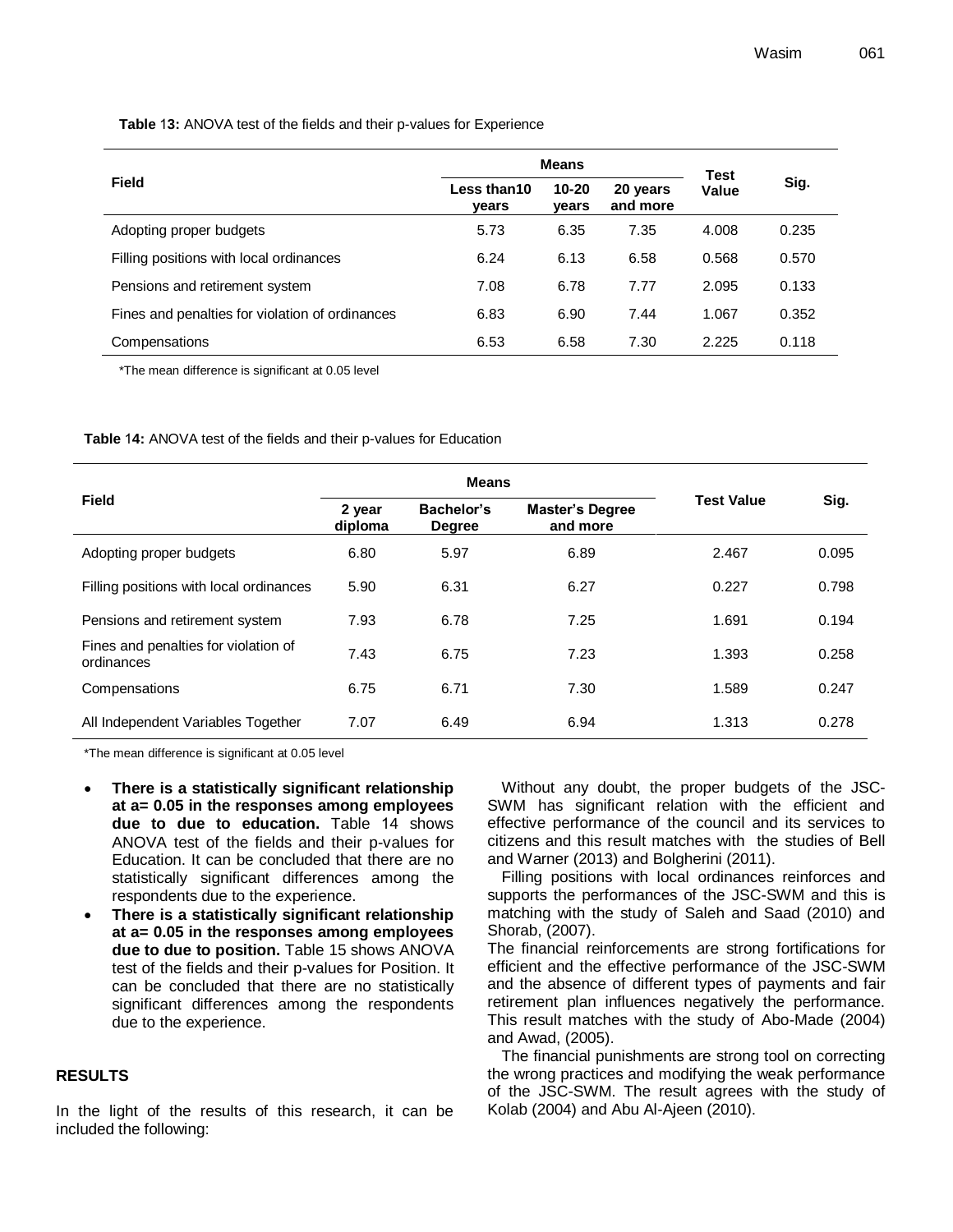**Table** 1**3:** ANOVA test of the fields and their p-values for Experience

|                                                 | <b>Means</b>         | <b>Test</b>        |                      |       |       |  |
|-------------------------------------------------|----------------------|--------------------|----------------------|-------|-------|--|
| <b>Field</b>                                    | Less than10<br>vears | $10 - 20$<br>vears | 20 years<br>and more | Value | Sig.  |  |
| Adopting proper budgets                         | 5.73                 | 6.35               | 7.35                 | 4.008 | 0.235 |  |
| Filling positions with local ordinances         | 6.24                 | 6.13               | 6.58                 | 0.568 | 0.570 |  |
| Pensions and retirement system                  | 7.08                 | 6.78               | 7.77                 | 2.095 | 0.133 |  |
| Fines and penalties for violation of ordinances | 6.83                 | 6.90               | 7.44                 | 1.067 | 0.352 |  |
| Compensations                                   | 6.53                 | 6.58               | 7.30                 | 2.225 | 0.118 |  |

\*The mean difference is significant at 0.05 level

**Table** 1**4:** ANOVA test of the fields and their p-values for Education

|                                                    |                   | <b>Means</b>                                                      |      |                   |       |
|----------------------------------------------------|-------------------|-------------------------------------------------------------------|------|-------------------|-------|
| <b>Field</b>                                       | 2 year<br>diploma | Bachelor's<br><b>Master's Degree</b><br>and more<br><b>Degree</b> |      | <b>Test Value</b> | Sig.  |
| Adopting proper budgets                            | 6.80              | 5.97                                                              | 6.89 | 2.467             | 0.095 |
| Filling positions with local ordinances            | 5.90              | 6.31                                                              | 6.27 | 0.227             | 0.798 |
| Pensions and retirement system                     | 7.93              | 6.78                                                              | 7.25 | 1.691             | 0.194 |
| Fines and penalties for violation of<br>ordinances | 7.43              | 6.75                                                              | 7.23 | 1.393             | 0.258 |
| Compensations                                      | 6.75              | 6.71                                                              | 7.30 | 1.589             | 0.247 |
| All Independent Variables Together                 | 7.07              | 6.49                                                              | 6.94 | 1.313             | 0.278 |

\*The mean difference is significant at 0.05 level

- **There is a statistically significant relationship at a= 0.05 in the responses among employees due to due to education.** Table 14 shows ANOVA test of the fields and their p-values for Education. It can be concluded that there are no statistically significant differences among the respondents due to the experience.
- **There is a statistically significant relationship at a= 0.05 in the responses among employees due to due to position.** Table 15 shows ANOVA test of the fields and their p-values for Position. It can be concluded that there are no statistically significant differences among the respondents due to the experience.

#### **RESULTS**

In the light of the results of this research, it can be included the following:

Without any doubt, the proper budgets of the JSC-SWM has significant relation with the efficient and effective performance of the council and its services to citizens and this result matches with the studies of Bell and Warner (2013) and Bolgherini (2011).

Filling positions with local ordinances reinforces and supports the performances of the JSC-SWM and this is matching with the study of Saleh and Saad (2010) and Shorab, (2007).

The financial reinforcements are strong fortifications for efficient and the effective performance of the JSC-SWM and the absence of different types of payments and fair retirement plan influences negatively the performance. This result matches with the study of Abo-Made (2004) and Awad, (2005).

The financial punishments are strong tool on correcting the wrong practices and modifying the weak performance of the JSC-SWM. The result agrees with the study of Kolab (2004) and Abu Al-Ajeen (2010).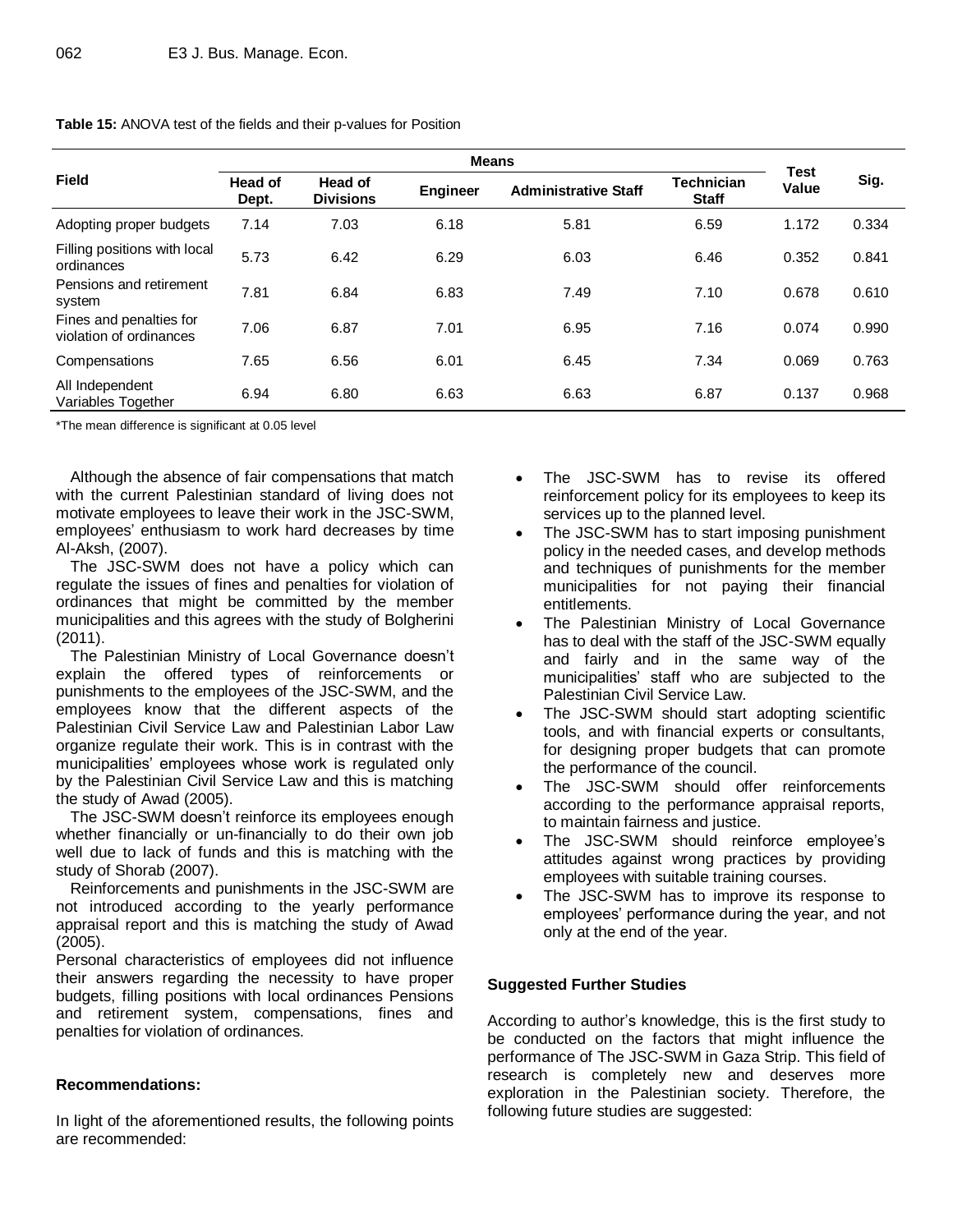| <b>Field</b>                                       | <b>Head of</b> | <b>Means</b><br>Head of |                 |                             | <b>Technician</b> | <b>Test</b> | Sig.  |
|----------------------------------------------------|----------------|-------------------------|-----------------|-----------------------------|-------------------|-------------|-------|
|                                                    | Dept.          | <b>Divisions</b>        | <b>Engineer</b> | <b>Administrative Staff</b> | <b>Staff</b>      | Value       |       |
| Adopting proper budgets                            | 7.14           | 7.03                    | 6.18            | 5.81                        | 6.59              | 1.172       | 0.334 |
| Filling positions with local<br>ordinances         | 5.73           | 6.42                    | 6.29            | 6.03                        | 6.46              | 0.352       | 0.841 |
| Pensions and retirement<br>system                  | 7.81           | 6.84                    | 6.83            | 7.49                        | 7.10              | 0.678       | 0.610 |
| Fines and penalties for<br>violation of ordinances | 7.06           | 6.87                    | 7.01            | 6.95                        | 7.16              | 0.074       | 0.990 |
| Compensations                                      | 7.65           | 6.56                    | 6.01            | 6.45                        | 7.34              | 0.069       | 0.763 |
| All Independent<br>Variables Together              | 6.94           | 6.80                    | 6.63            | 6.63                        | 6.87              | 0.137       | 0.968 |

**Table 15:** ANOVA test of the fields and their p-values for Position

\*The mean difference is significant at 0.05 level

Although the absence of fair compensations that match with the current Palestinian standard of living does not motivate employees to leave their work in the JSC-SWM, employees' enthusiasm to work hard decreases by time Al-Aksh, (2007).

The JSC-SWM does not have a policy which can regulate the issues of fines and penalties for violation of ordinances that might be committed by the member municipalities and this agrees with the study of Bolgherini (2011).

The Palestinian Ministry of Local Governance doesn't explain the offered types of reinforcements or punishments to the employees of the JSC-SWM, and the employees know that the different aspects of the Palestinian Civil Service Law and Palestinian Labor Law organize regulate their work. This is in contrast with the municipalities' employees whose work is regulated only by the Palestinian Civil Service Law and this is matching the study of Awad (2005).

The JSC-SWM doesn't reinforce its employees enough whether financially or un-financially to do their own job well due to lack of funds and this is matching with the study of Shorab (2007).

Reinforcements and punishments in the JSC-SWM are not introduced according to the yearly performance appraisal report and this is matching the study of Awad (2005).

Personal characteristics of employees did not influence their answers regarding the necessity to have proper budgets, filling positions with local ordinances Pensions and retirement system, compensations, fines and penalties for violation of ordinances.

## **Recommendations:**

In light of the aforementioned results, the following points are recommended:

- The JSC-SWM has to revise its offered reinforcement policy for its employees to keep its services up to the planned level.
- The JSC-SWM has to start imposing punishment policy in the needed cases, and develop methods and techniques of punishments for the member municipalities for not paying their financial entitlements.
- The Palestinian Ministry of Local Governance has to deal with the staff of the JSC-SWM equally and fairly and in the same way of the municipalities' staff who are subjected to the Palestinian Civil Service Law.
- The JSC-SWM should start adopting scientific tools, and with financial experts or consultants, for designing proper budgets that can promote the performance of the council.
- The JSC-SWM should offer reinforcements according to the performance appraisal reports, to maintain fairness and justice.
- The JSC-SWM should reinforce employee's attitudes against wrong practices by providing employees with suitable training courses.
- The JSC-SWM has to improve its response to employees' performance during the year, and not only at the end of the year.

## **Suggested Further Studies**

According to author's knowledge, this is the first study to be conducted on the factors that might influence the performance of The JSC-SWM in Gaza Strip. This field of research is completely new and deserves more exploration in the Palestinian society. Therefore, the following future studies are suggested: